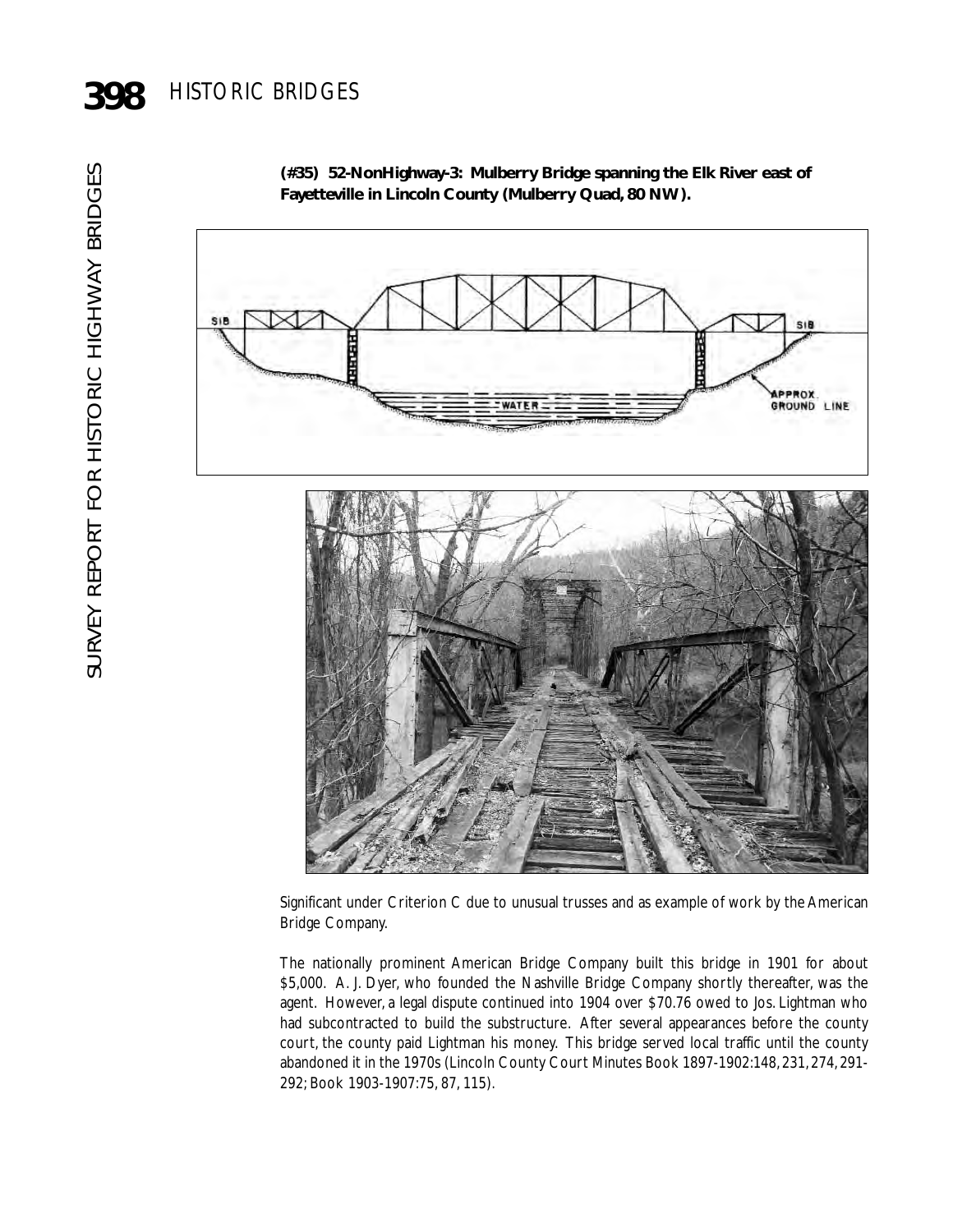SIP

**(#35) 52-NonHighway-3: Mulberry Bridge spanning the Elk River east of Fayetteville in Lincoln County (Mulberry Quad, 80 NW).**

**APPROX.**<br>GROUND LINE

Significant under Criterion C due to unusual trusses and as example of work by the American Bridge Company.

The nationally prominent American Bridge Company built this bridge in 1901 for about \$5,000. A. J. Dyer, who founded the Nashville Bridge Company shortly thereafter, was the agent. However, a legal dispute continued into 1904 over \$70.76 owed to Jos. Lightman who had subcontracted to build the substructure. After several appearances before the county court, the county paid Lightman his money. This bridge served local traffic until the county abandoned it in the 1970s (Lincoln County Court Minutes Book 1897-1902:148, 231, 274, 291- 292; Book 1903-1907:75, 87, 115).